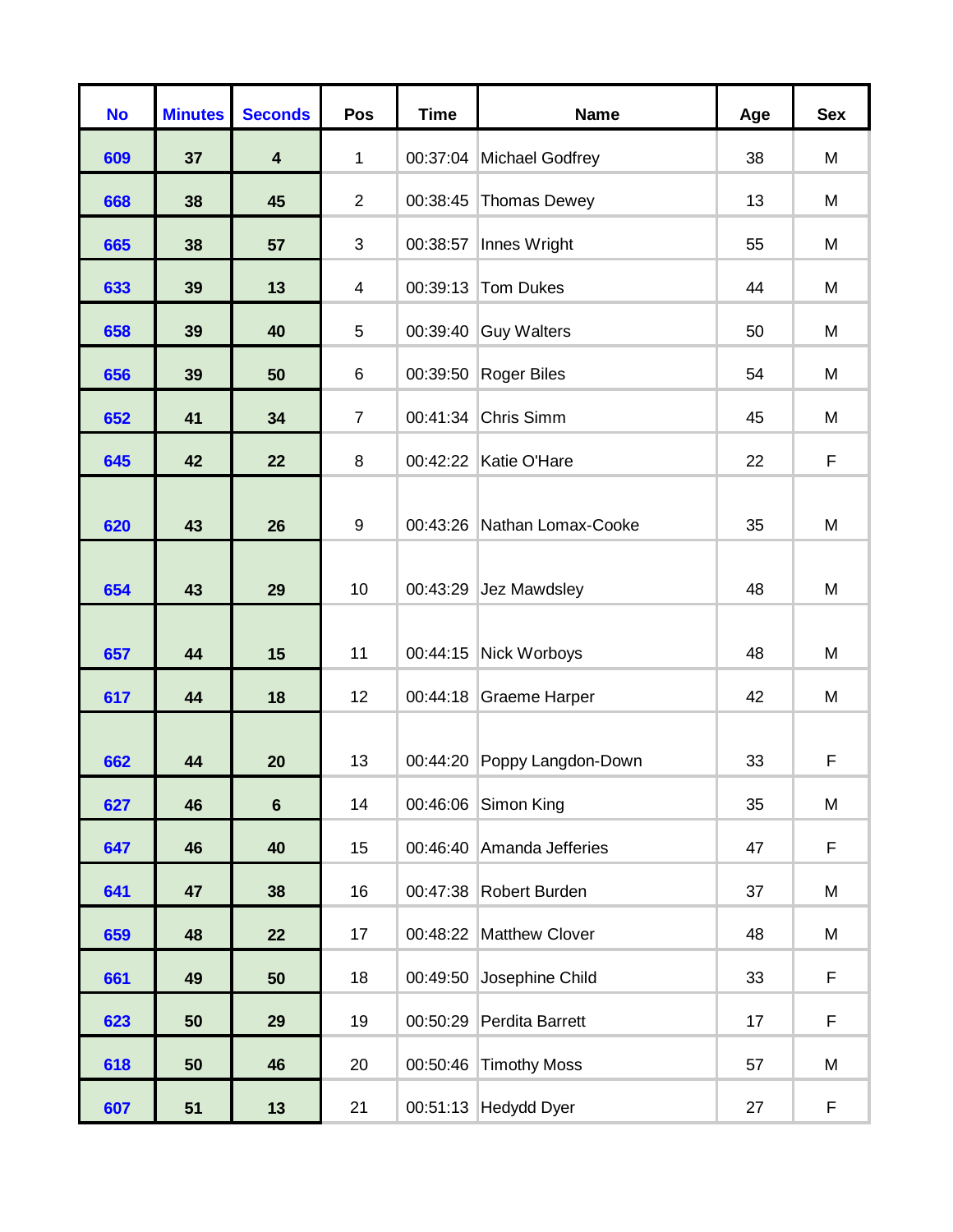| <b>No</b> | <b>Minutes</b> | <b>Seconds</b>          | Pos              | <b>Time</b> | <b>Name</b>                 | Age | <b>Sex</b> |
|-----------|----------------|-------------------------|------------------|-------------|-----------------------------|-----|------------|
| 609       | 37             | $\overline{\mathbf{4}}$ | 1                | 00:37:04    | <b>Michael Godfrey</b>      | 38  | M          |
| 668       | 38             | 45                      | $\overline{2}$   | 00:38:45    | <b>Thomas Dewey</b>         | 13  | M          |
| 665       | 38             | 57                      | 3                | 00:38:57    | Innes Wright                | 55  | M          |
| 633       | 39             | 13                      | $\overline{4}$   | 00:39:13    | Tom Dukes                   | 44  | M          |
| 658       | 39             | 40                      | 5                | 00:39:40    | <b>Guy Walters</b>          | 50  | M          |
| 656       | 39             | 50                      | $6\phantom{1}6$  | 00:39:50    | <b>Roger Biles</b>          | 54  | M          |
| 652       | 41             | 34                      | $\overline{7}$   | 00:41:34    | Chris Simm                  | 45  | M          |
| 645       | 42             | 22                      | 8                | 00:42:22    | Katie O'Hare                | 22  | F          |
| 620       | 43             | 26                      | $\boldsymbol{9}$ | 00:43:26    | Nathan Lomax-Cooke          | 35  | M          |
| 654       | 43             | 29                      | 10               | 00:43:29    | Jez Mawdsley                | 48  | M          |
| 657       | 44             | 15                      | 11               | 00:44:15    | Nick Worboys                | 48  | M          |
| 617       | 44             | 18                      | 12               | 00:44:18    | <b>Graeme Harper</b>        | 42  | M          |
| 662       | 44             | 20                      | 13               |             | 00:44:20 Poppy Langdon-Down | 33  | F          |
| 627       | 46             | $6\phantom{a}$          | 14               | 00:46:06    | Simon King                  | 35  | M          |
| 647       | 46             | 40                      | 15               | 00:46:40    | Amanda Jefferies            | 47  | F          |
| 641       | 47             | 38                      | 16               | 00:47:38    | Robert Burden               | 37  | M          |
| 659       | 48             | 22                      | 17               | 00:48:22    | <b>Matthew Clover</b>       | 48  | M          |
| 661       | 49             | 50                      | 18               | 00:49:50    | Josephine Child             | 33  | F          |
| 623       | 50             | 29                      | 19               | 00:50:29    | Perdita Barrett             | 17  | F          |
| 618       | 50             | 46                      | 20               | 00:50:46    | <b>Timothy Moss</b>         | 57  | M          |
| 607       | 51             | $13$                    | 21               | 00:51:13    | <b>Hedydd Dyer</b>          | 27  | F          |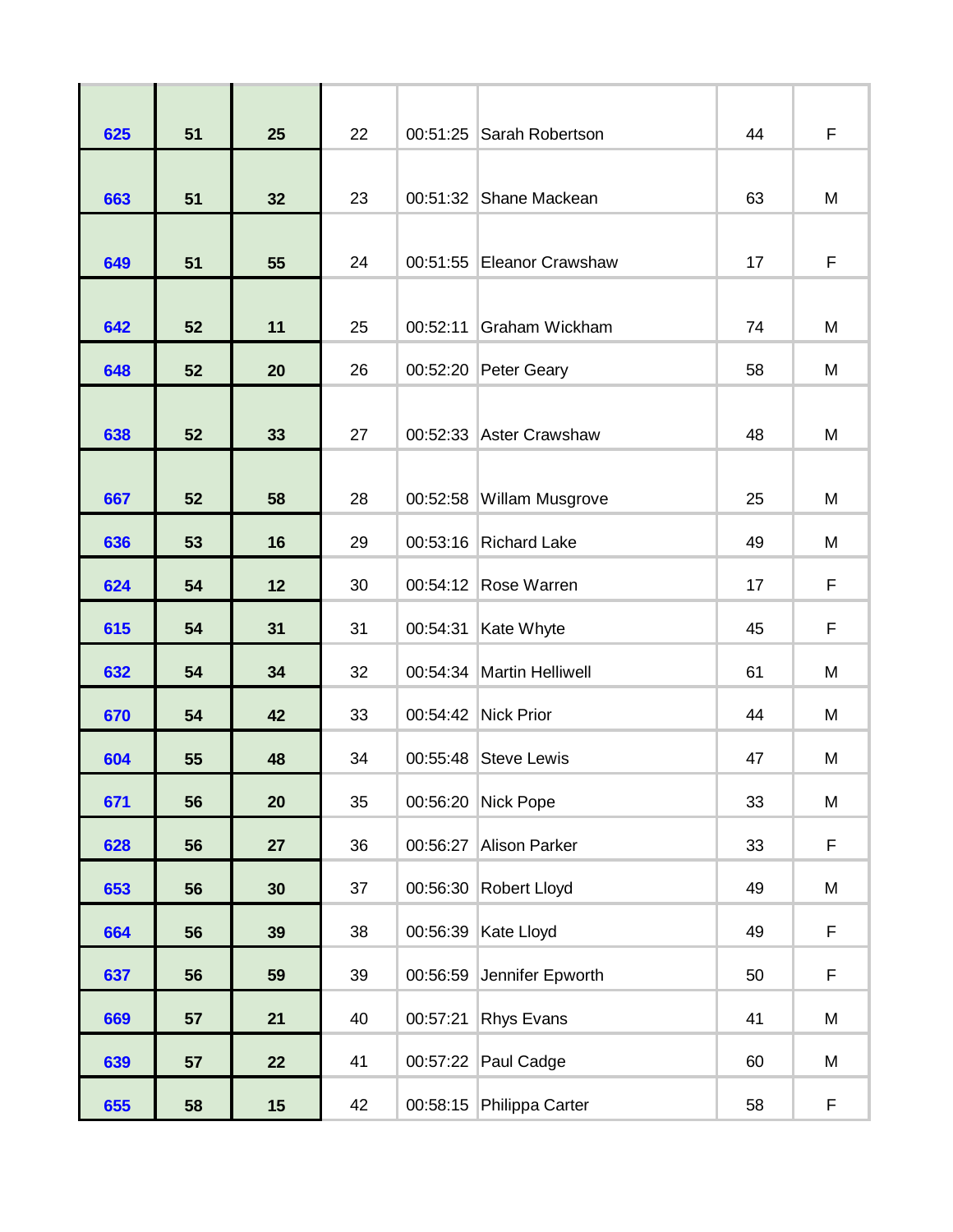| 625 | 51 | 25 | 22 | 00:51:25 | Sarah Robertson           | 44 | F |
|-----|----|----|----|----------|---------------------------|----|---|
| 663 | 51 | 32 | 23 | 00:51:32 | Shane Mackean             | 63 | M |
| 649 | 51 | 55 | 24 |          | 00:51:55 Eleanor Crawshaw | 17 | F |
| 642 | 52 | 11 | 25 | 00:52:11 | Graham Wickham            | 74 | M |
| 648 | 52 | 20 | 26 | 00:52:20 | Peter Geary               | 58 | M |
| 638 | 52 | 33 | 27 |          | 00:52:33 Aster Crawshaw   | 48 | M |
| 667 | 52 | 58 | 28 | 00:52:58 | Willam Musgrove           | 25 | M |
| 636 | 53 | 16 | 29 | 00:53:16 | <b>Richard Lake</b>       | 49 | M |
| 624 | 54 | 12 | 30 |          | 00:54:12 Rose Warren      | 17 | F |
| 615 | 54 | 31 | 31 | 00:54:31 | Kate Whyte                | 45 | F |
| 632 | 54 | 34 | 32 |          | 00:54:34 Martin Helliwell | 61 | M |
| 670 | 54 | 42 | 33 | 00:54:42 | <b>Nick Prior</b>         | 44 | M |
| 604 | 55 | 48 | 34 | 00:55:48 | <b>Steve Lewis</b>        | 47 | M |
| 671 | 56 | 20 | 35 |          | 00:56:20 Nick Pope        | 33 | M |
| 628 | 56 | 27 | 36 | 00:56:27 | <b>Alison Parker</b>      | 33 | F |
| 653 | 56 | 30 | 37 | 00:56:30 | Robert Lloyd              | 49 | M |
| 664 | 56 | 39 | 38 | 00:56:39 | Kate Lloyd                | 49 | F |
| 637 | 56 | 59 | 39 | 00:56:59 | Jennifer Epworth          | 50 | F |
| 669 | 57 | 21 | 40 | 00:57:21 | <b>Rhys Evans</b>         | 41 | M |
| 639 | 57 | 22 | 41 | 00:57:22 | Paul Cadge                | 60 | М |
| 655 | 58 | 15 | 42 | 00:58:15 | Philippa Carter           | 58 | F |